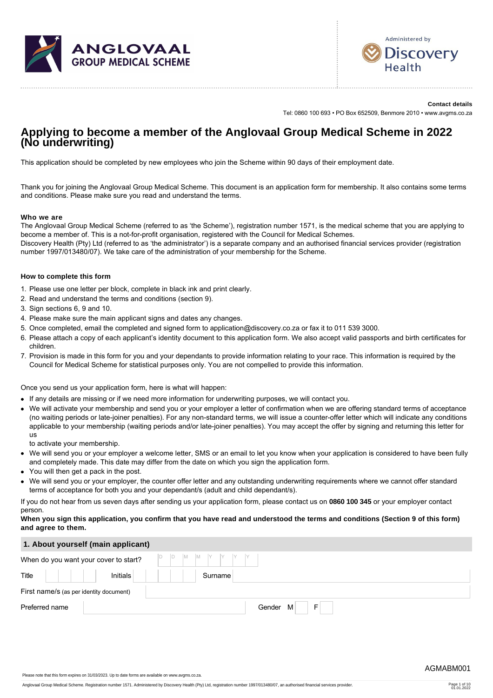



**Contact details** Tel: 0860 100 693 • PO Box 652509, Benmore 2010 • www.avgms.co.za

# **Applying to become a member of the Anglovaal Group Medical Scheme in 2022 (No underwriting)**

This application should be completed by new employees who join the Scheme within 90 days of their employment date.

Thank you for joining the Anglovaal Group Medical Scheme. This document is an application form for membership. It also contains some terms and conditions. Please make sure you read and understand the terms.

#### **Who we are**

The Anglovaal Group Medical Scheme (referred to as 'the Scheme'), registration number 1571, is the medical scheme that you are applying to become a member of. This is a not-for-profit organisation, registered with the Council for Medical Schemes.

Discovery Health (Pty) Ltd (referred to as 'the administrator') is a separate company and an authorised financial services provider (registration number 1997/013480/07). We take care of the administration of your membership for the Scheme.

#### **How to complete this form**

- 1. Please use one letter per block, complete in black ink and print clearly.
- 2. Read and understand the terms and conditions (section 9).
- 3. Sign sections 6, 9 and 10.
- 4. Please make sure the main applicant signs and dates any changes.
- 5. Once completed, email the completed and signed form to application@discovery.co.za or fax it to 011 539 3000.
- 6. Please attach a copy of each applicant's identity document to this application form. We also accept valid passports and birth certificates for children.
- 7. Provision is made in this form for you and your dependants to provide information relating to your race. This information is required by the Council for Medical Scheme for statistical purposes only. You are not compelled to provide this information.

Once you send us your application form, here is what will happen:

- If any details are missing or if we need more information for underwriting purposes, we will contact you.
- We will activate your membership and send you or your employer a letter of confirmation when we are offering standard terms of acceptance (no waiting periods or late-joiner penalties). For any non-standard terms, we will issue a counter-offer letter which will indicate any conditions applicable to your membership (waiting periods and/or late-joiner penalties). You may accept the offer by signing and returning this letter for us

to activate your membership.

- We will send you or your employer a welcome letter, SMS or an email to let you know when your application is considered to have been fully and completely made. This date may differ from the date on which you sign the application form.
- You will then get a pack in the post.
- We will send you or your employer, the counter offer letter and any outstanding underwriting requirements where we cannot offer standard terms of acceptance for both you and your dependant/s (adult and child dependant/s).

If you do not hear from us seven days after sending us your application form, please contact us on **0860 100 345** or your employer contact person.

#### **When you sign this application, you confirm that you have read and understood the terms and conditions (Section 9 of this form) and agree to them.**

| 1. About yourself (main applicant) |  |  |
|------------------------------------|--|--|
|                                    |  |  |

|                | When do you want your cover to start?   | D<br>$\begin{array}{c c c c c c c} \hline \mathsf{M} & \mathsf{M} & \mathsf{Y} & \mathsf{Y} & \mathsf{Y} & \mathsf{Y} & \mathsf{Y} \end{array}$<br>D |
|----------------|-----------------------------------------|------------------------------------------------------------------------------------------------------------------------------------------------------|
| Title          | Initials                                | Surname                                                                                                                                              |
|                | First name/s (as per identity document) |                                                                                                                                                      |
| Preferred name |                                         | F<br>Gender M                                                                                                                                        |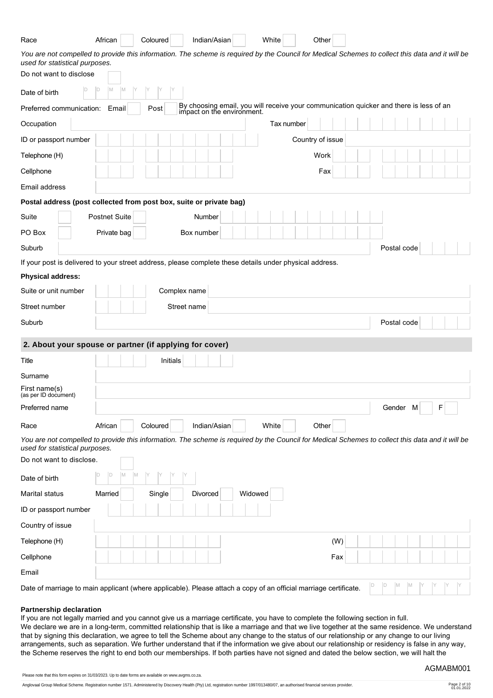| Race                                                                                                                                                                               | African              |         | Coloured | Indian/Asian                                                                                                      | White   |            | Other            |     |  |             |  |   |  |
|------------------------------------------------------------------------------------------------------------------------------------------------------------------------------------|----------------------|---------|----------|-------------------------------------------------------------------------------------------------------------------|---------|------------|------------------|-----|--|-------------|--|---|--|
| You are not compelled to provide this information. The scheme is required by the Council for Medical Schemes to collect this data and it will be<br>used for statistical purposes. |                      |         |          |                                                                                                                   |         |            |                  |     |  |             |  |   |  |
| Do not want to disclose                                                                                                                                                            |                      |         |          |                                                                                                                   |         |            |                  |     |  |             |  |   |  |
| ID<br>Date of birth                                                                                                                                                                | M<br>$\mathsf{D}$    | M       |          |                                                                                                                   |         |            |                  |     |  |             |  |   |  |
| Preferred communication:                                                                                                                                                           | Email                |         | Post     | By choosing email, you will receive your communication quicker and there is less of an impact on the environment. |         |            |                  |     |  |             |  |   |  |
| Occupation                                                                                                                                                                         |                      |         |          |                                                                                                                   |         | Tax number |                  |     |  |             |  |   |  |
| ID or passport number                                                                                                                                                              |                      |         |          |                                                                                                                   |         |            | Country of issue |     |  |             |  |   |  |
| Telephone (H)                                                                                                                                                                      |                      |         |          |                                                                                                                   |         |            | Work             |     |  |             |  |   |  |
| Cellphone                                                                                                                                                                          |                      |         |          |                                                                                                                   |         |            | Fax              |     |  |             |  |   |  |
| Email address                                                                                                                                                                      |                      |         |          |                                                                                                                   |         |            |                  |     |  |             |  |   |  |
| Postal address (post collected from post box, suite or private bag)                                                                                                                |                      |         |          |                                                                                                                   |         |            |                  |     |  |             |  |   |  |
| Suite                                                                                                                                                                              | <b>Postnet Suite</b> |         |          | Number                                                                                                            |         |            |                  |     |  |             |  |   |  |
| PO Box                                                                                                                                                                             | Private bag          |         |          | Box number                                                                                                        |         |            |                  |     |  |             |  |   |  |
| Suburb                                                                                                                                                                             |                      |         |          |                                                                                                                   |         |            |                  |     |  | Postal code |  |   |  |
| If your post is delivered to your street address, please complete these details under physical address.                                                                            |                      |         |          |                                                                                                                   |         |            |                  |     |  |             |  |   |  |
| <b>Physical address:</b>                                                                                                                                                           |                      |         |          |                                                                                                                   |         |            |                  |     |  |             |  |   |  |
| Suite or unit number                                                                                                                                                               |                      |         |          | Complex name                                                                                                      |         |            |                  |     |  |             |  |   |  |
| Street number                                                                                                                                                                      |                      |         |          | Street name                                                                                                       |         |            |                  |     |  |             |  |   |  |
|                                                                                                                                                                                    |                      |         |          |                                                                                                                   |         |            |                  |     |  |             |  |   |  |
| Suburb                                                                                                                                                                             |                      |         |          |                                                                                                                   |         |            |                  |     |  | Postal code |  |   |  |
| 2. About your spouse or partner (if applying for cover)                                                                                                                            |                      |         |          |                                                                                                                   |         |            |                  |     |  |             |  |   |  |
| Title                                                                                                                                                                              |                      |         | Initials |                                                                                                                   |         |            |                  |     |  |             |  |   |  |
| Surname                                                                                                                                                                            |                      |         |          |                                                                                                                   |         |            |                  |     |  |             |  |   |  |
| First name(s)                                                                                                                                                                      |                      |         |          |                                                                                                                   |         |            |                  |     |  |             |  |   |  |
| (as per ID document)<br>Preferred name                                                                                                                                             |                      |         |          |                                                                                                                   |         |            |                  |     |  | Gender M    |  | F |  |
| Race                                                                                                                                                                               | African              |         | Coloured | Indian/Asian                                                                                                      | White   |            | Other            |     |  |             |  |   |  |
| You are not compelled to provide this information. The scheme is required by the Council for Medical Schemes to collect this data and it will be                                   |                      |         |          |                                                                                                                   |         |            |                  |     |  |             |  |   |  |
| used for statistical purposes.<br>Do not want to disclose.                                                                                                                         |                      |         |          |                                                                                                                   |         |            |                  |     |  |             |  |   |  |
| Date of birth                                                                                                                                                                      | D <br>D              | M<br>M. |          |                                                                                                                   |         |            |                  |     |  |             |  |   |  |
| Marital status                                                                                                                                                                     | Married              |         | Single   | Divorced                                                                                                          | Widowed |            |                  |     |  |             |  |   |  |
| ID or passport number                                                                                                                                                              |                      |         |          |                                                                                                                   |         |            |                  |     |  |             |  |   |  |
| Country of issue                                                                                                                                                                   |                      |         |          |                                                                                                                   |         |            |                  |     |  |             |  |   |  |
| Telephone (H)                                                                                                                                                                      |                      |         |          |                                                                                                                   |         |            |                  | (W) |  |             |  |   |  |
| Cellphone                                                                                                                                                                          |                      |         |          |                                                                                                                   |         |            |                  | Fax |  |             |  |   |  |
| Email                                                                                                                                                                              |                      |         |          |                                                                                                                   |         |            |                  |     |  |             |  |   |  |

#### **Partnership declaration**

If you are not legally married and you cannot give us a marriage certificate, you have to complete the following section in full. We declare we are in a long-term, committed relationship that is like a marriage and that we live together at the same residence. We understand that by signing this declaration, we agree to tell the Scheme about any change to the status of our relationship or any change to our living arrangements, such as separation. We further understand that if the information we give about our relationship or residency is false in any way, the Scheme reserves the right to end both our memberships. If both parties have not signed and dated the below section, we will halt the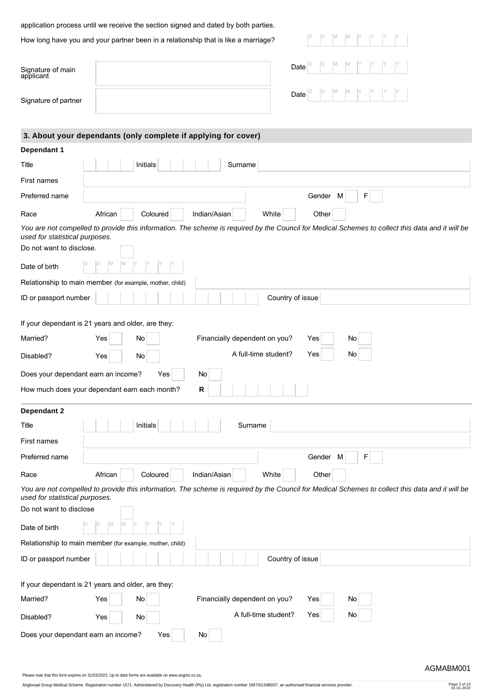application process until we receive the section signed and dated by both parties.

How long have you and your partner been in a relationship that is like a marriage?

Signature of main applicant

Signature of partner

| Date $\boxed{\triangleright}$ $\boxed{\triangleright}$ $\boxed{\shortparallel}$ $\boxed{\shortparallel}$ $\boxed{\shortparallel}$ $\boxed{\shortparallel}$ $\boxed{\shortparallel}$ $\boxed{\shortparallel}$ $\boxed{\shortparallel}$ |  |  |  |  |  |
|---------------------------------------------------------------------------------------------------------------------------------------------------------------------------------------------------------------------------------------|--|--|--|--|--|
| Date $\boxed{\circ}$ $\boxed{\circ}$ $\boxed{\circ}$ $\boxed{\circ}$ $\boxed{\circ}$ $\boxed{\circ}$ $\boxed{\circ}$ $\boxed{\circ}$ $\boxed{\circ}$ $\boxed{\circ}$ $\boxed{\circ}$                                                  |  |  |  |  |  |

| 3. About your dependants (only complete if applying for cover)                                                                                                                     |  |
|------------------------------------------------------------------------------------------------------------------------------------------------------------------------------------|--|
| Dependant 1                                                                                                                                                                        |  |
| Initials<br>Surname<br>Title                                                                                                                                                       |  |
| First names                                                                                                                                                                        |  |
| Preferred name<br>Gender<br>F<br>M                                                                                                                                                 |  |
| White<br>African<br>Coloured<br>Indian/Asian<br>Other<br>Race                                                                                                                      |  |
| You are not compelled to provide this information. The scheme is required by the Council for Medical Schemes to collect this data and it will be<br>used for statistical purposes. |  |
| Do not want to disclose.                                                                                                                                                           |  |
| M<br>ID<br>Date of birth                                                                                                                                                           |  |
| Relationship to main member (for example, mother, child)                                                                                                                           |  |
| ID or passport number<br>Country of issue                                                                                                                                          |  |
| If your dependant is 21 years and older, are they:                                                                                                                                 |  |
| Married?<br>Financially dependent on you?<br>Yes<br>No<br>No<br>Yes                                                                                                                |  |
| A full-time student?<br>Yes<br>No<br>Disabled?<br>Yes<br>No                                                                                                                        |  |
| Does your dependant earn an income?<br>Yes<br>No                                                                                                                                   |  |
| How much does your dependant earn each month?<br>R                                                                                                                                 |  |
| Dependant 2                                                                                                                                                                        |  |
| Initials<br>Surname<br>Title                                                                                                                                                       |  |
| First names                                                                                                                                                                        |  |
| F<br>Preferred name<br>Gender<br>M                                                                                                                                                 |  |
| African<br>Indian/Asian<br>White<br>Race<br>Coloured<br>Other                                                                                                                      |  |
| You are not compelled to provide this information. The scheme is required by the Council for Medical Schemes to collect this data and it will be<br>used for statistical purposes. |  |
| Do not want to disclose                                                                                                                                                            |  |
| <b>M</b><br>ID<br>Date of birth                                                                                                                                                    |  |
| Relationship to main member (for example, mother, child)                                                                                                                           |  |
| ID or passport number<br>Country of issue                                                                                                                                          |  |
| If your dependant is 21 years and older, are they:                                                                                                                                 |  |
| Married?<br>Yes<br>No<br>Financially dependent on you?<br>No<br>Yes                                                                                                                |  |
| A full-time student?<br>No<br>Yes<br>Disabled?<br>Yes<br>No                                                                                                                        |  |
| Does your dependant earn an income?<br>Yes<br>No                                                                                                                                   |  |

Please note that this form expires on 31/03/2023. Up to date forms are available on www.avgms.co.za.

Anglovaal Group Medical Scheme. Registration number 1571. Administered by Discovery Health (Pty) Ltd, registration number 1997/013480/07, an authorised financial services provider. Page 3 of 10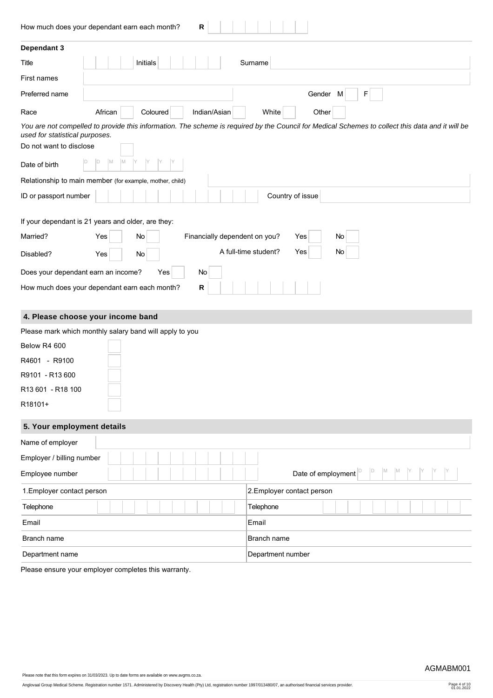| R<br>How much does your dependant earn each month?         |                                                                                                                                                  |
|------------------------------------------------------------|--------------------------------------------------------------------------------------------------------------------------------------------------|
| Dependant 3                                                |                                                                                                                                                  |
| Initials<br>Title                                          | Surname                                                                                                                                          |
| First names                                                |                                                                                                                                                  |
| Preferred name                                             | Gender M<br>F                                                                                                                                    |
| African<br>Coloured<br>Indian/Asian<br>Race                | White<br>Other                                                                                                                                   |
| used for statistical purposes.                             | You are not compelled to provide this information. The scheme is required by the Council for Medical Schemes to collect this data and it will be |
| Do not want to disclose                                    |                                                                                                                                                  |
| IM.<br>M<br>D<br>Date of birth                             |                                                                                                                                                  |
| Relationship to main member (for example, mother, child)   |                                                                                                                                                  |
| ID or passport number                                      | Country of issue                                                                                                                                 |
| If your dependant is 21 years and older, are they:         |                                                                                                                                                  |
| Married?<br>Yes<br>Financially dependent on you?<br>No     | Yes<br>No                                                                                                                                        |
| Disabled?<br>Yes<br>No                                     | A full-time student?<br>Yes<br>No                                                                                                                |
| Does your dependant earn an income?<br>Yes<br>No           |                                                                                                                                                  |
| ${\sf R}$<br>How much does your dependant earn each month? |                                                                                                                                                  |
| 4. Please choose your income band                          |                                                                                                                                                  |
| Please mark which monthly salary band will apply to you    |                                                                                                                                                  |
| Below R4 600                                               |                                                                                                                                                  |
| R4601 - R9100                                              |                                                                                                                                                  |
| R9101 - R13 600                                            |                                                                                                                                                  |
| R13 601 - R18 100                                          |                                                                                                                                                  |
| R18101+                                                    |                                                                                                                                                  |
| 5. Your employment details                                 |                                                                                                                                                  |
| Name of employer                                           |                                                                                                                                                  |
| Employer / billing number                                  |                                                                                                                                                  |
| Employee number                                            | D<br>M<br>$\mathsf{M}$<br>Date of employment <sup>D</sup>                                                                                        |
| 1. Employer contact person                                 | 2. Employer contact person                                                                                                                       |
| Telephone                                                  | Telephone                                                                                                                                        |
| Email                                                      | Email                                                                                                                                            |
| Branch name                                                | Branch name                                                                                                                                      |
| Department name                                            |                                                                                                                                                  |

Please ensure your employer completes this warranty.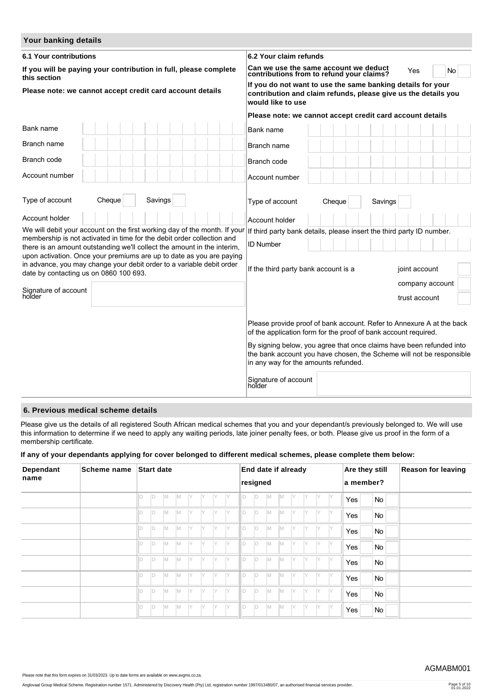| Your banking details                                                                                                                                                                    |                                                                                                                                                                                                                                                                                                                                  |  |  |  |  |  |  |  |  |  |  |
|-----------------------------------------------------------------------------------------------------------------------------------------------------------------------------------------|----------------------------------------------------------------------------------------------------------------------------------------------------------------------------------------------------------------------------------------------------------------------------------------------------------------------------------|--|--|--|--|--|--|--|--|--|--|
| <b>6.1 Your contributions</b>                                                                                                                                                           | 6.2 Your claim refunds                                                                                                                                                                                                                                                                                                           |  |  |  |  |  |  |  |  |  |  |
| If you will be paying your contribution in full, please complete<br>this section                                                                                                        | Can we use the same account we deduct<br>contributions from to refund your claims?<br>Yes<br><b>No</b>                                                                                                                                                                                                                           |  |  |  |  |  |  |  |  |  |  |
| Please note: we cannot accept credit card account details                                                                                                                               | If you do not want to use the same banking details for your<br>contribution and claim refunds, please give us the details you<br>would like to use                                                                                                                                                                               |  |  |  |  |  |  |  |  |  |  |
|                                                                                                                                                                                         | Please note: we cannot accept credit card account details                                                                                                                                                                                                                                                                        |  |  |  |  |  |  |  |  |  |  |
| Bank name                                                                                                                                                                               | Bank name                                                                                                                                                                                                                                                                                                                        |  |  |  |  |  |  |  |  |  |  |
| Branch name                                                                                                                                                                             | Branch name                                                                                                                                                                                                                                                                                                                      |  |  |  |  |  |  |  |  |  |  |
| Branch code                                                                                                                                                                             | Branch code                                                                                                                                                                                                                                                                                                                      |  |  |  |  |  |  |  |  |  |  |
| Account number                                                                                                                                                                          | Account number                                                                                                                                                                                                                                                                                                                   |  |  |  |  |  |  |  |  |  |  |
| Type of account<br>Cheque<br>Savings                                                                                                                                                    | Type of account<br>Savings<br>Cheque                                                                                                                                                                                                                                                                                             |  |  |  |  |  |  |  |  |  |  |
| Account holder                                                                                                                                                                          | Account holder                                                                                                                                                                                                                                                                                                                   |  |  |  |  |  |  |  |  |  |  |
| We will debit your account on the first working day of the month. If your<br>membership is not activated in time for the debit order collection and                                     | If third party bank details, please insert the third party ID number.                                                                                                                                                                                                                                                            |  |  |  |  |  |  |  |  |  |  |
| there is an amount outstanding we'll collect the amount in the interim,                                                                                                                 | <b>ID Number</b>                                                                                                                                                                                                                                                                                                                 |  |  |  |  |  |  |  |  |  |  |
| upon activation. Once your premiums are up to date as you are paying<br>in advance, you may change your debit order to a variable debit order<br>date by contacting us on 0860 100 693. | If the third party bank account is a<br>joint account                                                                                                                                                                                                                                                                            |  |  |  |  |  |  |  |  |  |  |
|                                                                                                                                                                                         | company account                                                                                                                                                                                                                                                                                                                  |  |  |  |  |  |  |  |  |  |  |
| Signature of account<br>holder                                                                                                                                                          | trust account                                                                                                                                                                                                                                                                                                                    |  |  |  |  |  |  |  |  |  |  |
|                                                                                                                                                                                         | Please provide proof of bank account. Refer to Annexure A at the back<br>of the application form for the proof of bank account required.<br>By signing below, you agree that once claims have been refunded into<br>the bank account you have chosen, the Scheme will not be responsible<br>in any way for the amounts refunded. |  |  |  |  |  |  |  |  |  |  |
|                                                                                                                                                                                         | Signature of account<br>holder                                                                                                                                                                                                                                                                                                   |  |  |  |  |  |  |  |  |  |  |

# **6. Previous medical scheme details**

Please give us the details of all registered South African medical schemes that you and your dependant/s previously belonged to. We will use this information to determine if we need to apply any waiting periods, late joiner penalty fees, or both. Please give us proof in the form of a membership certificate.

# **If any of your dependants applying for cover belonged to different medical schemes, please complete them below:**

| Dependant | <b>Scheme name</b> | <b>Start date</b><br>End date if already |     |     |     |     | Are they still |     |          |          | <b>Reason for leaving</b> |     |     |     |     |     |           |     |  |           |  |  |
|-----------|--------------------|------------------------------------------|-----|-----|-----|-----|----------------|-----|----------|----------|---------------------------|-----|-----|-----|-----|-----|-----------|-----|--|-----------|--|--|
| name      |                    |                                          |     |     |     |     |                |     |          | resigned |                           |     |     |     |     |     | a member? |     |  |           |  |  |
|           |                    |                                          | D   | IM. | IM. | IY  | IY             | IY  | IY       | ID       | ID.                       | M   | IM. | IY  | IY  | IY  | IY        | Yes |  | No        |  |  |
|           |                    |                                          | ID. | M   | M   | IY. | IY             | IY  | IY       | ID       | ID.                       | M   | M   | IY. | IY. | ly. | IY        | Yes |  | <b>No</b> |  |  |
|           |                    |                                          | ID. | IM. | IM. | IY. | IY             | IY  | IY.      | ID       | ID.                       | IM. | M   | IY. | IY. | Y   | IY.       | Yes |  | No        |  |  |
|           |                    |                                          | ID. | M   | M.  | IY. | IY             | IY  | IY       | lld      | ld.                       | M   | M   | l Y | IY. | IY. | IY        | Yes |  | No        |  |  |
|           |                    |                                          | ID. | M   | IM. | IY. | IY             | IY  | <b>Y</b> | D        | ID.                       | M   | M   | İΥ  | IY  | Y   | Y.        | Yes |  | No        |  |  |
|           |                    |                                          | ID. | IM. | M   | IY  | IY             | IY  | IY.      | ID       | ID.                       | M   | M   | IY. | IY  | IY. | IY        | Yes |  | No        |  |  |
|           |                    |                                          | ID. | M   | M   | IY. | IY             | IY. | IY       | ID       | ID.                       | M   | M   | Y   | IY  | Y   | IY        | Yes |  | No        |  |  |
|           |                    |                                          | D   | IM. | IM. | IY. | IY             | IY  | IY       | ID       | ID.                       | M   | M   | l Y | IY. | IY  | IY        | Yes |  | No        |  |  |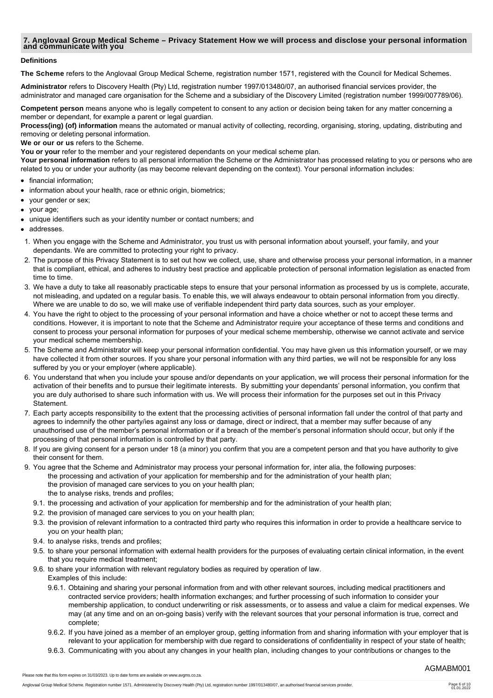# **7. Anglovaal Group Medical Scheme – Privacy Statement How we will process and disclose your personal information and communicate with you**

#### **Definitions**

**The Scheme** refers to the Anglovaal Group Medical Scheme, registration number 1571, registered with the Council for Medical Schemes.

**Administrator** refers to Discovery Health (Pty) Ltd, registration number 1997/013480/07, an authorised financial services provider, the administrator and managed care organisation for the Scheme and a subsidiary of the Discovery Limited (registration number 1999/007789/06).

**Competent person** means anyone who is legally competent to consent to any action or decision being taken for any matter concerning a member or dependant, for example a parent or legal guardian.

**Process(ing) (of) information** means the automated or manual activity of collecting, recording, organising, storing, updating, distributing and removing or deleting personal information.

**We or our or us** refers to the Scheme.

You or your refer to the member and your registered dependants on your medical scheme plan.

Your personal information refers to all personal information the Scheme or the Administrator has processed relating to you or persons who are related to you or under your authority (as may become relevant depending on the context). Your personal information includes:

- financial information:
- information about your health, race or ethnic origin, biometrics;
- your gender or sex;
- your age;  $\bullet$
- unique identifiers such as your identity number or contact numbers; and
- addresses.
- 1. When you engage with the Scheme and Administrator, you trust us with personal information about yourself, your family, and your dependants. We are committed to protecting your right to privacy.
- 2. The purpose of this Privacy Statement is to set out how we collect, use, share and otherwise process your personal information, in a manner that is compliant, ethical, and adheres to industry best practice and applicable protection of personal information legislation as enacted from time to time.
- 3. We have a duty to take all reasonably practicable steps to ensure that your personal information as processed by us is complete, accurate, not misleading, and updated on a regular basis. To enable this, we will always endeavour to obtain personal information from you directly. Where we are unable to do so, we will make use of verifiable independent third party data sources, such as your employer.
- 4. You have the right to object to the processing of your personal information and have a choice whether or not to accept these terms and conditions. However, it is important to note that the Scheme and Administrator require your acceptance of these terms and conditions and consent to process your personal information for purposes of your medical scheme membership, otherwise we cannot activate and service your medical scheme membership.
- 5. The Scheme and Administrator will keep your personal information confidential. You may have given us this information yourself, or we may have collected it from other sources. If you share your personal information with any third parties, we will not be responsible for any loss suffered by you or your employer (where applicable).
- 6. You understand that when you include your spouse and/or dependants on your application, we will process their personal information for the activation of their benefits and to pursue their legitimate interests. By submitting your dependants' personal information, you confirm that you are duly authorised to share such information with us. We will process their information for the purposes set out in this Privacy Statement.
- 7. Each party accepts responsibility to the extent that the processing activities of personal information fall under the control of that party and agrees to indemnify the other party/ies against any loss or damage, direct or indirect, that a member may suffer because of any unauthorised use of the member's personal information or if a breach of the member's personal information should occur, but only if the processing of that personal information is controlled by that party.
- 8. If you are giving consent for a person under 18 (a minor) you confirm that you are a competent person and that you have authority to give their consent for them.
- 9. You agree that the Scheme and Administrator may process your personal information for, inter alia, the following purposes: the processing and activation of your application for membership and for the administration of your health plan; the provision of managed care services to you on your health plan; the to analyse risks, trends and profiles;
	- 9.1. the processing and activation of your application for membership and for the administration of your health plan;
	- 9.2. the provision of managed care services to you on your health plan;
	- 9.3. the provision of relevant information to a contracted third party who requires this information in order to provide a healthcare service to you on your health plan;
	- 9.4. to analyse risks, trends and profiles;
	- 9.5. to share your personal information with external health providers for the purposes of evaluating certain clinical information, in the event that you require medical treatment;
	- 9.6. to share your information with relevant regulatory bodies as required by operation of law. Examples of this include:
		- 9.6.1. Obtaining and sharing your personal information from and with other relevant sources, including medical practitioners and contracted service providers; health information exchanges; and further processing of such information to consider your membership application, to conduct underwriting or risk assessments, or to assess and value a claim for medical expenses. We may (at any time and on an on-going basis) verify with the relevant sources that your personal information is true, correct and complete;
		- 9.6.2. If you have joined as a member of an employer group, getting information from and sharing information with your employer that is relevant to your application for membership with due regard to considerations of confidentiality in respect of your state of health;
		- 9.6.3. Communicating with you about any changes in your health plan, including changes to your contributions or changes to the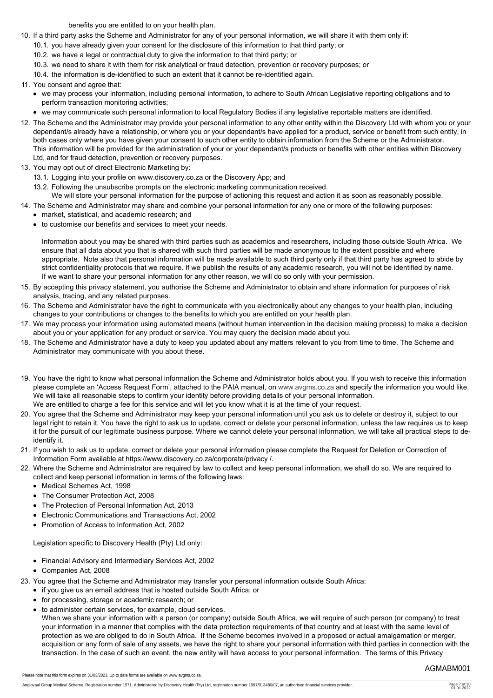benefits you are entitled to on your health plan.

- 10. If a third party asks the Scheme and Administrator for any of your personal information, we will share it with them only if:
	- 10.1. you have already given your consent for the disclosure of this information to that third party; or
	- 10.2. we have a legal or contractual duty to give the information to that third party; or
	- 10.3. we need to share it with them for risk analytical or fraud detection, prevention or recovery purposes; or
	- 10.4. the information is de-identified to such an extent that it cannot be re-identified again.
- 11. You consent and agree that:
	- we may process your information, including personal information, to adhere to South African Legislative reporting obligations and to perform transaction monitoring activities;
	- we may communicate such personal information to local Regulatory Bodies if any legislative reportable matters are identified.
- 12. The Scheme and the Administrator may provide your personal information to any other entity within the Discovery Ltd with whom you or your dependant/s already have a relationship, or where you or your dependant/s have applied for a product, service or benefit from such entity, in both cases only where you have given your consent to such other entity to obtain information from the Scheme or the Administrator. This information will be provided for the administration of your or your dependant/s products or benefits with other entities within Discovery Ltd, and for fraud detection, prevention or recovery purposes.
- 13. You may opt out of direct Electronic Marketing by:
	- 13.1. Logging into your profile on www.discovery.co.za or the Discovery App; and
	- 13.2. Following the unsubscribe prompts on the electronic marketing communication received.

We will store your personal information for the purpose of actioning this request and action it as soon as reasonably possible.

- 14. The Scheme and Administrator may share and combine your personal information for any one or more of the following purposes: market, statistical, and academic research; and
	- to customise our benefits and services to meet your needs.

Information about you may be shared with third parties such as academics and researchers, including those outside South Africa. We ensure that all data about you that is shared with such third parties will be made anonymous to the extent possible and where appropriate. Note also that personal information will be made available to such third party only if that third party has agreed to abide by strict confidentiality protocols that we require. If we publish the results of any academic research, you will not be identified by name. If we want to share your personal information for any other reason, we will do so only with your permission.

- 15. By accepting this privacy statement, you authorise the Scheme and Administrator to obtain and share information for purposes of risk analysis, tracing, and any related purposes.
- 16. The Scheme and Administrator have the right to communicate with you electronically about any changes to your health plan, including changes to your contributions or changes to the benefits to which you are entitled on your health plan.
- 17. We may process your information using automated means (without human intervention in the decision making process) to make a decision about you or your application for any product or service. You may query the decision made about you.
- 18. The Scheme and Administrator have a duty to keep you updated about any matters relevant to you from time to time. The Scheme and Administrator may communicate with you about these.
- 19. You have the right to know what personal information the Scheme and Administrator holds about you. If you wish to receive this information please complete an 'Access Request Form', attached to the PAIA manual, on [www.avgms.co.za](http://www.avgms.co.za) and specify the information you would like. We will take all reasonable steps to confirm your identity before providing details of your personal information. We are entitled to charge a fee for this service and will let you know what it is at the time of your request.
- 20. You agree that the Scheme and Administrator may keep your personal information until you ask us to delete or destroy it, subject to our legal right to retain it. You have the right to ask us to update, correct or delete your personal information, unless the law requires us to keep it for the pursuit of our legitimate business purpose. Where we cannot delete your personal information, we will take all practical steps to deidentify it.
- 21. If you wish to ask us to update, correct or delete your personal information please complete the Request for Deletion or Correction of Information Form available at https://www.discovery.co.za/corporate/privacy /.
- 22. Where the Scheme and Administrator are required by law to collect and keep personal information, we shall do so. We are required to collect and keep personal information in terms of the following laws:
	- Medical Schemes Act, 1998
	- The Consumer Protection Act, 2008
	- The Protection of Personal Information Act, 2013
	- Electronic Communications and Transactions Act, 2002
	- Promotion of Access to Information Act, 2002

Legislation specific to Discovery Health (Pty) Ltd only:

- Financial Advisory and Intermediary Services Act, 2002
- Companies Act, 2008

23. You agree that the Scheme and Administrator may transfer your personal information outside South Africa:

- if you give us an email address that is hosted outside South Africa; or
- for processing, storage or academic research; or

Please note that this form expires on 31/03/2023. Up to date forms are available on www.avgms.co.za.

- to administer certain services, for example, cloud services.
- When we share your information with a person (or company) outside South Africa, we will require of such person (or company) to treat your information in a manner that complies with the data protection requirements of that country and at least with the same level of protection as we are obliged to do in South Africa. If the Scheme becomes involved in a proposed or actual amalgamation or merger, acquisition or any form of sale of any assets, we have the right to share your personal information with third parties in connection with the transaction. In the case of such an event, the new entity will have access to your personal information. The terms of this Privacy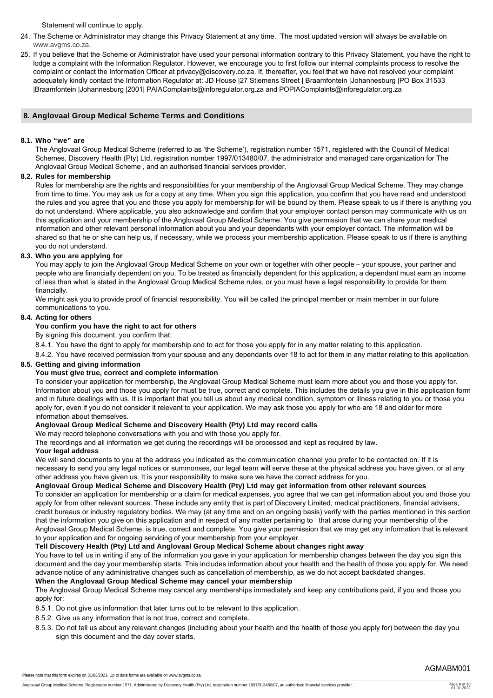Statement will continue to apply.

- 24. The Scheme or Administrator may change this Privacy Statement at any time. The most updated version will always be available on [www.avgms.co.za](http://www.avgms.co.za).
- 25. If you believe that the Scheme or Administrator have used your personal information contrary to this Privacy Statement, you have the right to lodge a complaint with the Information Regulator. However, we encourage you to first follow our internal complaints process to resolve the complaint or contact the Information Officer at privacy@discovery.co.za. If, thereafter, you feel that we have not resolved your complaint adequately kindly contact the Information Regulator at: JD House |27 Stiemens Street | Braamfontein |Johannesburg |PO Box 31533 |Braamfontein |Johannesburg |2001| PAIAComplaints@inforegulator.org.za and POPIAComplaints@inforegulator.org.za

# **8. Anglovaal Group Medical Scheme Terms and Conditions**

#### **8.1. Who "we" are**

The Anglovaal Group Medical Scheme (referred to as 'the Scheme'), registration number 1571, registered with the Council of Medical Schemes, Discovery Health (Pty) Ltd, registration number 1997/013480/07, the administrator and managed care organization for The Anglovaal Group Medical Scheme , and an authorised financial services provider.

#### **8.2. Rules for membership**

Rules for membership are the rights and responsibilities for your membership of the Anglovaal Group Medical Scheme. They may change from time to time. You may ask us for a copy at any time. When you sign this application, you confirm that you have read and understood the rules and you agree that you and those you apply for membership for will be bound by them. Please speak to us if there is anything you do not understand. Where applicable, you also acknowledge and confirm that your employer contact person may communicate with us on this application and your membership of the Anglovaal Group Medical Scheme. You give permission that we can share your medical information and other relevant personal information about you and your dependants with your employer contact. The information will be shared so that he or she can help us, if necessary, while we process your membership application. Please speak to us if there is anything you do not understand.

#### **8.3. Who you are applying for**

You may apply to join the Anglovaal Group Medical Scheme on your own or together with other people – your spouse, your partner and people who are financially dependent on you. To be treated as financially dependent for this application, a dependant must earn an income of less than what is stated in the Anglovaal Group Medical Scheme rules, or you must have a legal responsibility to provide for them financially.

We might ask you to provide proof of financial responsibility. You will be called the principal member or main member in our future communications to you.

#### **8.4. Acting for others**

#### **You confirm you have the right to act for others**

By signing this document, you confirm that:

8.4.1. You have the right to apply for membership and to act for those you apply for in any matter relating to this application.

8.4.2. You have received permission from your spouse and any dependants over 18 to act for them in any matter relating to this application.

#### **8.5. Getting and giving information**

#### **You must give true, correct and complete information**

To consider your application for membership, the Anglovaal Group Medical Scheme must learn more about you and those you apply for. Information about you and those you apply for must be true, correct and complete. This includes the details you give in this application form and in future dealings with us. It is important that you tell us about any medical condition, symptom or illness relating to you or those you apply for, even if you do not consider it relevant to your application. We may ask those you apply for who are 18 and older for more information about themselves.

#### **Anglovaal Group Medical Scheme and Discovery Health (Pty) Ltd may record calls**

We may record telephone conversations with you and with those you apply for.

The recordings and all information we get during the recordings will be processed and kept as required by law.

# **Your legal address**

We will send documents to you at the address you indicated as the communication channel you prefer to be contacted on. If it is necessary to send you any legal notices or summonses, our legal team will serve these at the physical address you have given, or at any other address you have given us. It is your responsibility to make sure we have the correct address for you.

#### **Anglovaal Group Medical Scheme and Discovery Health (Pty) Ltd may get information from other relevant sources**

To consider an application for membership or a claim for medical expenses, you agree that we can get information about you and those you apply for from other relevant sources. These include any entity that is part of Discovery Limited, medical practitioners, financial advisers, credit bureaus or industry regulatory bodies. We may (at any time and on an ongoing basis) verify with the parties mentioned in this section that the information you give on this application and in respect of any matter pertaining to that arose during your membership of the Anglovaal Group Medical Scheme, is true, correct and complete. You give your permission that we may get any information that is relevant to your application and for ongoing servicing of your membership from your employer.

#### **Tell Discovery Health (Pty) Ltd and Anglovaal Group Medical Scheme about changes right away**

You have to tell us in writing if any of the information you gave in your application for membership changes between the day you sign this document and the day your membership starts. This includes information about your health and the health of those you apply for. We need advance notice of any administrative changes such as cancellation of membership, as we do not accept backdated changes.

#### **When the Anglovaal Group Medical Scheme may cancel your membership**

The Anglovaal Group Medical Scheme may cancel any memberships immediately and keep any contributions paid, if you and those you apply for:

- 8.5.1. Do not give us information that later turns out to be relevant to this application.
- 8.5.2. Give us any information that is not true, correct and complete.
- 8.5.3. Do not tell us about any relevant changes (including about your health and the health of those you apply for) between the day you sign this document and the day cover starts.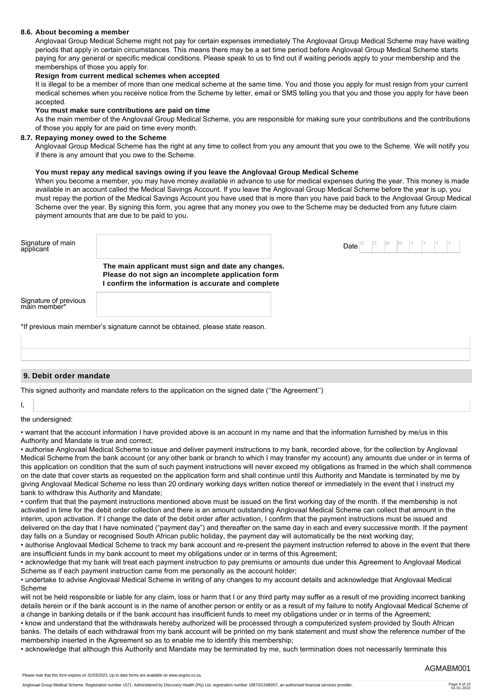#### **8.6. About becoming a member**

Anglovaal Group Medical Scheme might not pay for certain expenses immediately The Anglovaal Group Medical Scheme may have waiting periods that apply in certain circumstances. This means there may be a set time period before Anglovaal Group Medical Scheme starts paying for any general or specific medical conditions. Please speak to us to find out if waiting periods apply to your membership and the memberships of those you apply for.

#### **Resign from current medical schemes when accepted**

It is illegal to be a member of more than one medical scheme at the same time. You and those you apply for must resign from your current medical schemes when you receive notice from the Scheme by letter, email or SMS telling you that you and those you apply for have been accepted.

#### **You must make sure contributions are paid on time**

As the main member of the Anglovaal Group Medical Scheme, you are responsible for making sure your contributions and the contributions of those you apply for are paid on time every month.

#### **8.7. Repaying money owed to the Scheme**

Anglovaal Group Medical Scheme has the right at any time to collect from you any amount that you owe to the Scheme. We will notify you if there is any amount that you owe to the Scheme.

#### **You must repay any medical savings owing if you leave the Anglovaal Group Medical Scheme**

When you become a member, you may have money available in advance to use for medical expenses during the year. This money is made available in an account called the Medical Savings Account. If you leave the Anglovaal Group Medical Scheme before the year is up, you must repay the portion of the Medical Savings Account you have used that is more than you have paid back to the Anglovaal Group Medical Scheme over the year. By signing this form, you agree that any money you owe to the Scheme may be deducted from any future claim payment amounts that are due to be paid to you.

| Signature of main<br>applicant        |                                                                                                                                                             | <b>Date</b> $\begin{bmatrix} D \\ D \end{bmatrix}$ $\begin{bmatrix} D \\ M \end{bmatrix}$ $\begin{bmatrix} M \\ Y \end{bmatrix}$ $\begin{bmatrix} Y \\ Y \end{bmatrix}$ $\begin{bmatrix} Y \\ Y \end{bmatrix}$ |
|---------------------------------------|-------------------------------------------------------------------------------------------------------------------------------------------------------------|----------------------------------------------------------------------------------------------------------------------------------------------------------------------------------------------------------------|
|                                       | The main applicant must sign and date any changes.<br>Please do not sign an incomplete application form<br>confirm the information is accurate and complete |                                                                                                                                                                                                                |
| Signature of previous<br>main member* |                                                                                                                                                             |                                                                                                                                                                                                                |
|                                       | *If previous main member's signature cannot be obtained, please state reason.                                                                               |                                                                                                                                                                                                                |

#### **9. Debit order mandate**

This signed authority and mandate refers to the application on the signed date (''the Agreement'')

#### I,

#### the undersigned:

• warrant that the account information I have provided above is an account in my name and that the information furnished by me/us in this Authority and Mandate is true and correct;

• authorise Anglovaal Medical Scheme to issue and deliver payment instructions to my bank, recorded above, for the collection by Anglovaal Medical Scheme from the bank account (or any other bank or branch to which I may transfer my account) any amounts due under or in terms of this application on condition that the sum of such payment instructions will never exceed my obligations as framed in the which shall commence on the date that cover starts as requested on the application form and shall continue until this Authority and Mandate is terminated by me by giving Anglovaal Medical Scheme no less than 20 ordinary working days written notice thereof or immediately in the event that I instruct my bank to withdraw this Authority and Mandate;

• confirm that that the payment instructions mentioned above must be issued on the first working day of the month. If the membership is not activated in time for the debit order collection and there is an amount outstanding Anglovaal Medical Scheme can collect that amount in the interim, upon activation. If I change the date of the debit order after activation, I confirm that the payment instructions must be issued and delivered on the day that I have nominated ("payment day") and thereafter on the same day in each and every successive month. If the payment day falls on a Sunday or recognised South African public holiday, the payment day will automatically be the next working day;

• authorise Anglovaal Medical Scheme to track my bank account and re-present the payment instruction referred to above in the event that there are insufficient funds in my bank account to meet my obligations under or in terms of this Agreement;

• acknowledge that my bank will treat each payment instruction to pay premiums or amounts due under this Agreement to Anglovaal Medical Scheme as if each payment instruction came from me personally as the account holder;

• undertake to advise Anglovaal Medical Scheme in writing of any changes to my account details and acknowledge that Anglovaal Medical Scheme

will not be held responsible or liable for any claim, loss or harm that I or any third party may suffer as a result of me providing incorrect banking details herein or if the bank account is in the name of another person or entity or as a result of my failure to notify Anglovaal Medical Scheme of a change in banking details or if the bank account has insufficient funds to meet my obligations under or in terms of the Agreement;

• know and understand that the withdrawals hereby authorized will be processed through a computerized system provided by South African banks. The details of each withdrawal from my bank account will be printed on my bank statement and must show the reference number of the membership inserted in the Agreement so as to enable me to identify this membership;

• acknowledge that although this Authority and Mandate may be terminated by me, such termination does not necessarily terminate this